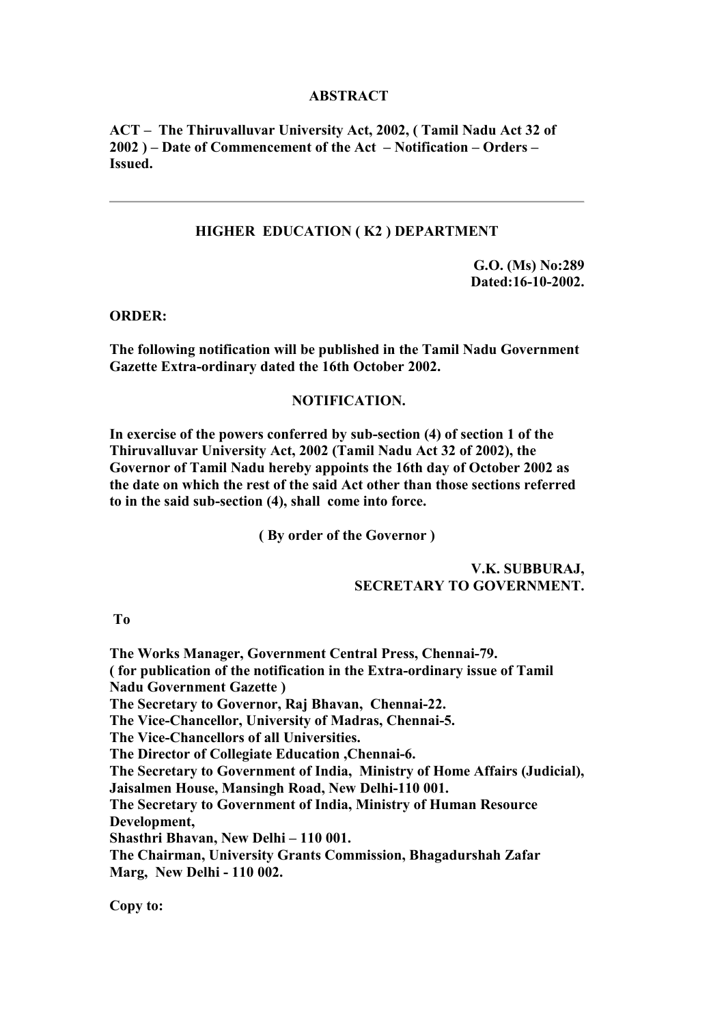## **ABSTRACT**

**ACT – The Thiruvalluvar University Act, 2002, ( Tamil Nadu Act 32 of 2002 ) – Date of Commencement of the Act – Notification – Orders – Issued.**

## **HIGHER EDUCATION ( K2 ) DEPARTMENT**

**G.O. (Ms) No:289 Dated:16-10-2002.**

**ORDER:**

**The following notification will be published in the Tamil Nadu Government Gazette Extra-ordinary dated the 16th October 2002.**

## **NOTIFICATION.**

**In exercise of the powers conferred by sub-section (4) of section 1 of the Thiruvalluvar University Act, 2002 (Tamil Nadu Act 32 of 2002), the Governor of Tamil Nadu hereby appoints the 16th day of October 2002 as the date on which the rest of the said Act other than those sections referred to in the said sub-section (4), shall come into force.**

**( By order of the Governor )**

## **V.K. SUBBURAJ, SECRETARY TO GOVERNMENT.**

 **To**

**The Works Manager, Government Central Press, Chennai-79. ( for publication of the notification in the Extra-ordinary issue of Tamil Nadu Government Gazette ) The Secretary to Governor, Raj Bhavan, Chennai-22. The Vice-Chancellor, University of Madras, Chennai-5. The Vice-Chancellors of all Universities. The Director of Collegiate Education ,Chennai-6. The Secretary to Government of India, Ministry of Home Affairs (Judicial), Jaisalmen House, Mansingh Road, New Delhi-110 001. The Secretary to Government of India, Ministry of Human Resource Development, Shasthri Bhavan, New Delhi – 110 001. The Chairman, University Grants Commission, Bhagadurshah Zafar Marg, New Delhi - 110 002.**

**Copy to:**